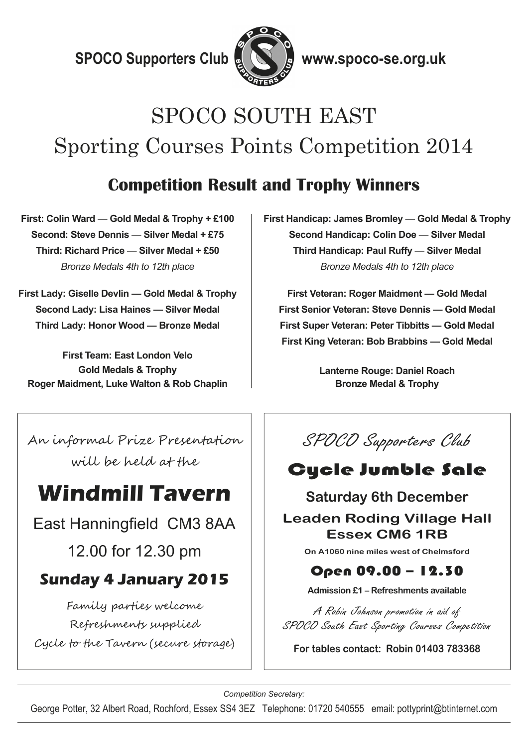**SPOCO Supporters Club & & & www.spoco-se.org.uk** 



# SPOCO SOUTH EAST Sporting Courses Points Competition 2014

#### **Competition Result and Trophy Winners**

**First: Colin Ward** — **Gold Medal & Trophy + £100 Second: Steve Dennis** — **Silver Medal + £75 Third: Richard Price** — **Silver Medal + £50**  *Bronze Medals 4th to 12th place* 

**First Lady: Giselle Devlin — Gold Medal & Trophy Second Lady: Lisa Haines — Silver Medal Third Lady: Honor Wood — Bronze Medal** 

**First Team: East London Velo Gold Medals & Trophy Roger Maidment, Luke Walton & Rob Chaplin**  **First Handicap: James Bromley** — **Gold Medal & Trophy Second Handicap: Colin Doe** — **Silver Medal Third Handicap: Paul Ruffy** — **Silver Medal**  *Bronze Medals 4th to 12th place* 

**First Veteran: Roger Maidment — Gold Medal First Senior Veteran: Steve Dennis — Gold Medal First Super Veteran: Peter Tibbitts — Gold Medal First King Veteran: Bob Brabbins — Gold Medal** 

> **Lanterne Rouge: Daniel Roach Bronze Medal & Trophy**

An informal Prize Presentation will be held at the

## **Windmill Tavern**

East Hanningfield CM3 8AA

12.00 for 12.30 pm

#### **Sunday 4 January 2015**

Family parties welcome Refreshments supplied Cycle to the Tavern (secure storage)

SPOCO Supporters Club

### Cycle Jumble Sale

#### **Saturday 6th December Leaden Roding Village Hall Essex CM6 1RB**

**On A1060 nine miles west of Chelmsford** 

#### Open 09.00 – 12.30

**Admission £1 – Refreshments available** 

A Robin Johnson promotion in aid of SPOCO South East Sporting Courses Competition

**For tables contact: Robin 01403 783368** 

*Competition Secretary:* 

George Potter, 32 Albert Road, Rochford, Essex SS4 3EZ Telephone: 01720 540555 email: pottyprint@btinternet.com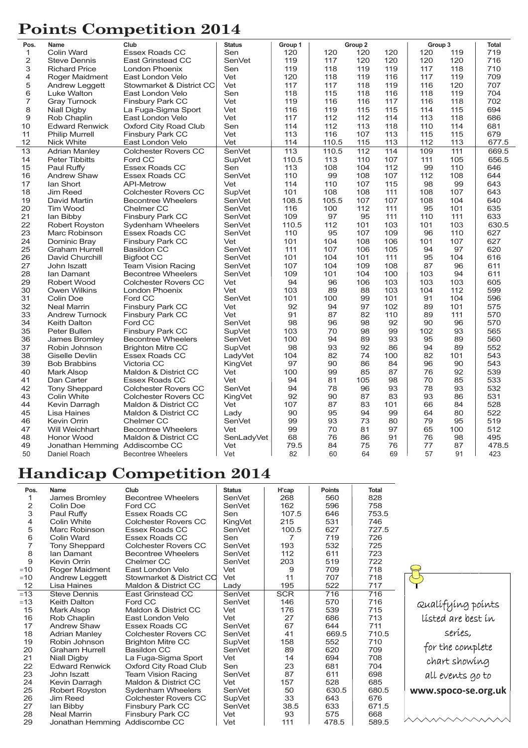#### **Points Competition 2014**

| Pos.            | <b>Name</b>                    | Club                        | <b>Status</b> | Group 1          |       | Group 2         |     | Group 3 |                   | <b>Total</b> |
|-----------------|--------------------------------|-----------------------------|---------------|------------------|-------|-----------------|-----|---------|-------------------|--------------|
| $\mathbf{1}$    | Colin Ward                     | <b>Essex Roads CC</b>       | Sen           | 120              | 120   | 120             | 120 | 120     | 119               | 719          |
| 2               | <b>Steve Dennis</b>            | <b>East Grinstead CC</b>    | SenVet        | 119              | 117   | 120             | 120 | 120     | 120               | 716          |
| 3               | <b>Richard Price</b>           | London Phoenix              | Sen           | 119              | 118   | 119             | 119 | 117     | 118               | 710          |
| 4               | Roger Maidment                 | East London Velo            | Vet           | 120              | 118   | 119             | 116 | 117     | 119               | 709          |
| 5               | Andrew Leggett                 | Stowmarket & District CC    | Vet           | 117              | 117   | 118             | 119 | 116     | 120               | 707          |
| 6               | Luke Walton                    | East London Velo            | Sen           | 118              | 115   | 118             | 116 | 118     | 119               | 704          |
| 7               | <b>Gray Turnock</b>            | <b>Finsbury Park CC</b>     | Vet           | 119              | 116   | 116             | 117 | 116     | 118               | 702          |
| 8               | <b>Niall Digby</b>             | La Fuga-Sigma Sport         | Vet           | 116              | 119   | 115             | 115 | 114     | 115               | 694          |
| 9               | Rob Chaplin                    | East London Velo            | Vet           | 117              | 112   | 112             | 114 | 113     | 118               | 686          |
| 10              | <b>Edward Renwick</b>          | Oxford City Road Club       | Sen           | 114              | 112   | 113             | 118 | 110     | 114               | 681          |
| 11              | <b>Philip Murrell</b>          | <b>Finsbury Park CC</b>     | Vet           | 113              | 116   | 107             | 113 | 115     | 115               | 679          |
| 12              | <b>Nick White</b>              | East London Velo            | Vet           | 114              | 110.5 | 115             | 113 | 112     | 113               | 677.5        |
| $\overline{13}$ | <b>Adrian Manley</b>           | <b>Colchester Rovers CC</b> | SenVet        | $\overline{113}$ | 110.5 | $\frac{1}{112}$ | 114 | 109     | $\frac{111}{111}$ | 669.5        |
| 14              | <b>Peter Tibbitts</b>          | Ford CC                     | SupVet        | 110.5            | 113   | 110             | 107 | 111     | 105               | 656.5        |
| 15              | Paul Ruffy                     | <b>Essex Roads CC</b>       | Sen           | 113              | 108   | 104             | 112 | 99      | 110               | 646          |
| 16              | <b>Andrew Shaw</b>             | <b>Essex Roads CC</b>       | <b>SenVet</b> | 110              | 99    | 108             | 107 | 112     | 108               | 644          |
| 17              | lan Short                      | <b>API-Metrow</b>           | Vet           | 114              | 110   | 107             | 115 | 98      | 99                | 643          |
| 18              | <b>Jim Reed</b>                | <b>Colchester Rovers CC</b> | SupVet        | 101              | 108   | 108             | 111 | 108     | 107               | 643          |
| 19              | David Martin                   | <b>Becontree Wheelers</b>   | SenVet        | 108.5            | 105.5 | 107             | 107 | 108     | 104               | 640          |
| 20              | <b>Tim Wood</b>                | Chelmer CC                  | SenVet        | 116              | 100   | 112             | 111 | 95      | 101               | 635          |
|                 |                                |                             |               |                  |       |                 |     |         |                   |              |
| 21              | lan Bibby                      | <b>Finsbury Park CC</b>     | SenVet        | 109              | 97    | 95              | 111 | 110     | 111               | 633          |
| 22              | <b>Robert Royston</b>          | Sydenham Wheelers           | SenVet        | 110.5            | 112   | 101             | 103 | 101     | 103               | 630.5        |
| 23              | Marc Robinson                  | <b>Essex Roads CC</b>       | <b>SenVet</b> | 110              | 95    | 107             | 109 | 96      | 110               | 627          |
| 24              | Dominic Bray                   | Finsbury Park CC            | Vet           | 101              | 104   | 108             | 106 | 101     | 107               | 627          |
| 25              | <b>Graham Hurrell</b>          | <b>Basildon CC</b>          | SenVet        | 111              | 107   | 106             | 105 | 94      | 97                | 620          |
| 26              | David Churchill                | <b>Bigfoot CC</b>           | SenVet        | 101              | 104   | 101             | 111 | 95      | 104               | 616          |
| 27              | John Iszatt                    | <b>Team Vision Racing</b>   | SenVet        | 107              | 104   | 109             | 108 | 87      | 96                | 611          |
| 28              | Ian Damant                     | <b>Becontree Wheelers</b>   | SenVet        | 109              | 101   | 104             | 100 | 103     | 94                | 611          |
| 29              | Robert Wood                    | Colchester Rovers CC        | Vet           | 94               | 96    | 106             | 103 | 103     | 103               | 605          |
| 30              | <b>Owen Wilkins</b>            | London Phoenix              | Vet           | 103              | 89    | 88              | 103 | 104     | 112               | 599          |
| 31              | Colin Doe                      | Ford CC                     | <b>SenVet</b> | 101              | 100   | 99              | 101 | 91      | 104               | 596          |
| 32              | <b>Neal Marrin</b>             | <b>Finsbury Park CC</b>     | Vet           | 92               | 94    | 97              | 102 | 89      | 101               | 575          |
| 33              | <b>Andrew Turnock</b>          | <b>Finsbury Park CC</b>     | Vet           | 91               | 87    | 82              | 110 | 89      | 111               | 570          |
| 34              | <b>Keith Dalton</b>            | Ford CC                     | SenVet        | 98               | 96    | 98              | 92  | 90      | 96                | 570          |
| 35              | Peter Bullen                   | <b>Finsbury Park CC</b>     | <b>SupVet</b> | 103              | 70    | 98              | 99  | 102     | 93                | 565          |
| 36              | James Bromley                  | <b>Becontree Wheelers</b>   | SenVet        | 100              | 94    | 89              | 93  | 95      | 89                | 560          |
| 37              | Robin Johnson                  | <b>Brighton Mitre CC</b>    | SupVet        | 98               | 93    | 92              | 86  | 94      | 89                | 552          |
| 38              | Giselle Devlin                 | <b>Essex Roads CC</b>       | LadyVet       | 104              | 82    | 74              | 100 | 82      | 101               | 543          |
| 39              | <b>Bob Brabbins</b>            | Victoria CC                 | KingVet       | 97               | 90    | 86              | 84  | 96      | 90                | 543          |
| 40              | Mark Alsop                     | Maldon & District CC        | Vet           | 100              | 99    | 85              | 87  | 76      | 92                | 539          |
| 41              | Dan Carter                     | <b>Essex Roads CC</b>       | Vet           | 94               | 81    | 105             | 98  | 70      | 85                | 533          |
| 42              | <b>Tony Sheppard</b>           | <b>Colchester Rovers CC</b> | SenVet        | 94               | 78    | 96              | 93  | 78      | 93                | 532          |
| 43              | Colin White                    | <b>Colchester Rovers CC</b> | KingVet       | 92               | 90    | 87              | 83  | 93      | 86                | 531          |
| 44              | Kevin Darragh                  | Maldon & District CC        | Vet           | 107              | 87    | 83              | 101 | 66      | 84                | 528          |
| 45              | Lisa Haines                    | Maldon & District CC        | Lady          | 90               | 95    | 94              | 99  | 64      | 80                | 522          |
| 46              | Kevin Orrin                    | Chelmer CC                  | SenVet        | 99               | 93    | 73              | 80  | 79      | 95                | 519          |
| 47              | Will Weichhart                 | <b>Becontree Wheelers</b>   | Vet           | 99               | 70    | 81              | 97  | 65      | 100               | 512          |
| 48              | Honor Wood                     | Maldon & District CC        | SenLadyVet    | 68               | 76    | 86              | 91  | 76      | 98                | 495          |
| 49              | Jonathan Hemming Addiscombe CC |                             | Vet           | 79.5             | 84    | 75              | 76  | 77      | 87                | 478.5        |
| 50              | Daniel Roach                   | <b>Becontree Wheelers</b>   | Vet           | 82               | 60    | 64              | 69  | 57      | 91                | 423          |

#### **Handicap Competition 2014**

| Pos.           | Name                           | Club                        | <b>Status</b>  | H'cap      | <b>Points</b> | <b>Total</b> |
|----------------|--------------------------------|-----------------------------|----------------|------------|---------------|--------------|
| 1              | James Bromley                  | <b>Becontree Wheelers</b>   | SenVet         | 268        | 560           | 828          |
| 2              | Colin Doe                      | Ford CC                     | SenVet         | 162        | 596           | 758          |
| 3              | Paul Ruffy                     | Essex Roads CC              | Sen            | 107.5      | 646           | 753.5        |
| $\overline{4}$ | Colin White                    | <b>Colchester Rovers CC</b> | <b>KingVet</b> | 215        | 531           | 746          |
| 5              | Marc Robinson                  | <b>Essex Roads CC</b>       | SenVet         | 100.5      | 627           | 727.5        |
| 6              | Colin Ward                     | Essex Roads CC              | Sen            | 7          | 719           | 726          |
| $\overline{7}$ | Tony Sheppard                  | <b>Colchester Rovers CC</b> | SenVet         | 193        | 532           | 725          |
| 8              | lan Damant                     | <b>Becontree Wheelers</b>   | SenVet         | 112        | 611           | 723          |
| 9              | Kevin Orrin                    | Chelmer CC                  | SenVet         | 203        | 519           | 722          |
| $=10$          | Roger Maidment                 | East London Velo            | Vet            | 9          | 709           | 718          |
| $=10$          | Andrew Leggett                 | Stowmarket & District CC    | Vet            | 11         | 707           | 718          |
| 12             | Lisa Haines                    | Maldon & District CC        | Lady           | 195        | 522           | 717          |
| $=13$          | <b>Steve Dennis</b>            | East Grinstead CC           | SenVet         | <b>SCR</b> | 716           | 716          |
| $=13$          | <b>Keith Dalton</b>            | Ford CC                     | SenVet         | 146        | 570           | 716          |
| 15             | Mark Alsop                     | Maldon & District CC        | Vet            | 176        | 539           | 715          |
| 16             | Rob Chaplin                    | East London Velo            | Vet            | 27         | 686           | 713          |
| 17             | Andrew Shaw                    | Essex Roads CC              | SenVet         | 67         | 644           | 711          |
| 18             | <b>Adrian Manley</b>           | <b>Colchester Rovers CC</b> | SenVet         | 41         | 669.5         | 710.5        |
| 19             | Robin Johnson                  | <b>Brighton Mitre CC</b>    | SupVet         | 158        | 552           | 710          |
| 20             | <b>Graham Hurrell</b>          | Basildon CC                 | SenVet         | 89         | 620           | 709          |
| 21             | Niall Digby                    | La Fuga-Sigma Sport         | Vet            | 14         | 694           | 708          |
| 22             | <b>Edward Renwick</b>          | Oxford City Road Club       | Sen            | 23         | 681           | 704          |
| 23             | John Iszatt                    | <b>Team Vision Racing</b>   | SenVet         | 87         | 611           | 698          |
| 24             | Kevin Darragh                  | Maldon & District CC        | Vet            | 157        | 528           | 685          |
| 25             | <b>Robert Royston</b>          | Sydenham Wheelers           | SenVet         | 50         | 630.5         | 680.5        |
| 26             | <b>Jim Reed</b>                | <b>Colchester Rovers CC</b> | SupVet         | 33         | 643           | 676          |
| 27             | lan Bibby                      | Finsbury Park CC            | SenVet         | 38.5       | 633           | 671.5        |
| 28             | Neal Marrin                    | Finsbury Park CC            | Vet            | 93         | 575           | 668          |
| 29             | Jonathan Hemming Addiscombe CC |                             | Vet            | 111        | 478.5         | 589.5        |

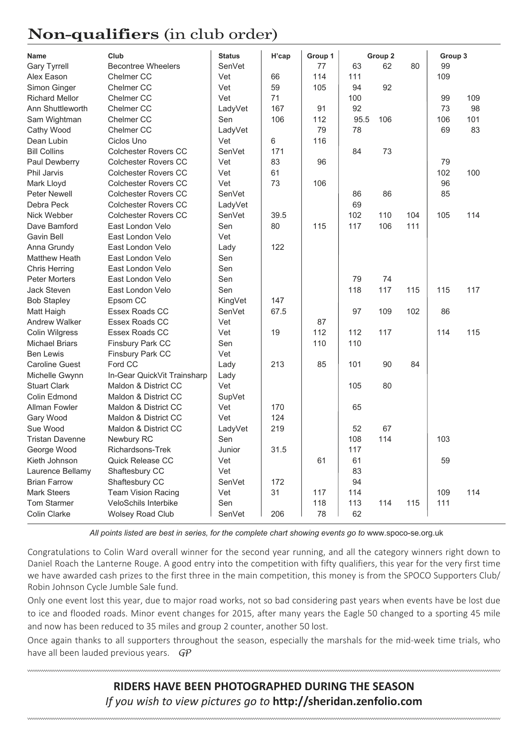#### **Non-qualifiers** (in club order)

| <b>Name</b>            | Club                        | <b>Status</b> | H'cap | Group 1 |      | Group 2 |     | Group 3 |     |
|------------------------|-----------------------------|---------------|-------|---------|------|---------|-----|---------|-----|
| <b>Gary Tyrrell</b>    | <b>Becontree Wheelers</b>   | SenVet        |       | 77      | 63   | 62      | 80  | 99      |     |
| Alex Eason             | Chelmer CC                  | Vet           | 66    | 114     | 111  |         |     | 109     |     |
| Simon Ginger           | Chelmer CC                  | Vet           | 59    | 105     | 94   | 92      |     |         |     |
| <b>Richard Mellor</b>  | Chelmer CC                  | Vet           | 71    |         | 100  |         |     | 99      | 109 |
| Ann Shuttleworth       | Chelmer <sub>CC</sub>       | LadyVet       | 167   | 91      | 92   |         |     | 73      | 98  |
| Sam Wightman           | Chelmer CC                  | Sen           | 106   | 112     | 95.5 | 106     |     | 106     | 101 |
| Cathy Wood             | Chelmer CC                  | LadyVet       |       | 79      | 78   |         |     | 69      | 83  |
| Dean Lubin             | Ciclos Uno                  | Vet           | 6     | 116     |      |         |     |         |     |
| <b>Bill Collins</b>    | <b>Colchester Rovers CC</b> | SenVet        | 171   |         | 84   | 73      |     |         |     |
| Paul Dewberry          | <b>Colchester Rovers CC</b> | Vet           | 83    | 96      |      |         |     | 79      |     |
| Phil Jarvis            | <b>Colchester Rovers CC</b> | Vet           | 61    |         |      |         |     | 102     | 100 |
| Mark Lloyd             | <b>Colchester Rovers CC</b> | Vet           | 73    | 106     |      |         |     | 96      |     |
| Peter Newell           | <b>Colchester Rovers CC</b> | SenVet        |       |         | 86   | 86      |     | 85      |     |
| Debra Peck             | <b>Colchester Rovers CC</b> | LadyVet       |       |         | 69   |         |     |         |     |
| Nick Webber            | <b>Colchester Rovers CC</b> | SenVet        | 39.5  |         | 102  | 110     | 104 | 105     | 114 |
| Dave Bamford           | East London Velo            | Sen           | 80    | 115     | 117  | 106     | 111 |         |     |
| Gavin Bell             | East London Velo            | Vet           |       |         |      |         |     |         |     |
| Anna Grundy            | East London Velo            | Lady          | 122   |         |      |         |     |         |     |
| <b>Matthew Heath</b>   | East London Velo            | Sen           |       |         |      |         |     |         |     |
| <b>Chris Herring</b>   | East London Velo            | Sen           |       |         |      |         |     |         |     |
| <b>Peter Morters</b>   | East London Velo            | Sen           |       |         | 79   | 74      |     |         |     |
| Jack Steven            | East London Velo            | Sen           |       |         | 118  | 117     | 115 | 115     | 117 |
| <b>Bob Stapley</b>     | Epsom CC                    | KingVet       | 147   |         |      |         |     |         |     |
| Matt Haigh             | Essex Roads CC              | SenVet        | 67.5  |         | 97   | 109     | 102 | 86      |     |
| <b>Andrew Walker</b>   | Essex Roads CC              | Vet           |       | 87      |      |         |     |         |     |
| <b>Colin Wilgress</b>  | Essex Roads CC              | Vet           | 19    | 112     | 112  | 117     |     | 114     | 115 |
| <b>Michael Briars</b>  | Finsbury Park CC            | Sen           |       | 110     | 110  |         |     |         |     |
| <b>Ben Lewis</b>       | Finsbury Park CC            | Vet           |       |         |      |         |     |         |     |
| <b>Caroline Guest</b>  | Ford CC                     | Lady          | 213   | 85      | 101  | 90      | 84  |         |     |
| Michelle Gwynn         | In-Gear QuickVit Trainsharp | Lady          |       |         |      |         |     |         |     |
| <b>Stuart Clark</b>    | Maldon & District CC        | Vet           |       |         | 105  | 80      |     |         |     |
| Colin Edmond           | Maldon & District CC        | SupVet        |       |         |      |         |     |         |     |
| <b>Allman Fowler</b>   | Maldon & District CC        | Vet           | 170   |         | 65   |         |     |         |     |
| Gary Wood              | Maldon & District CC        | Vet           | 124   |         |      |         |     |         |     |
| Sue Wood               | Maldon & District CC        | LadyVet       | 219   |         | 52   | 67      |     |         |     |
| <b>Tristan Davenne</b> | Newbury RC                  | Sen           |       |         | 108  | 114     |     | 103     |     |
| George Wood            | Richardsons-Trek            | Junior        | 31.5  |         | 117  |         |     |         |     |
| Kieth Johnson          | Quick Release CC            | Vet           |       | 61      | 61   |         |     | 59      |     |
| Laurence Bellamy       | Shaftesbury CC              | Vet           |       |         | 83   |         |     |         |     |
| <b>Brian Farrow</b>    | Shaftesbury CC              | SenVet        | 172   |         | 94   |         |     |         |     |
| <b>Mark Steers</b>     | Team Vision Racing          | Vet           | 31    | 117     | 114  |         |     | 109     | 114 |
| Tom Starmer            | VeloSchils Interbike        | Sen           |       | 118     | 113  | 114     | 115 | 111     |     |
| Colin Clarke           | <b>Wolsey Road Club</b>     | SenVet        | 206   | 78      | 62   |         |     |         |     |
|                        |                             |               |       |         |      |         |     |         |     |

*All points listed are best in series, for the complete chart showing events go to* www.spoco-se.org.uk

Congratulations to Colin Ward overall winner for the second year running, and all the category winners right down to Daniel Roach the Lanterne Rouge. A good entry into the competition with fifty qualifiers, this year for the very first time we have awarded cash prizes to the first three in the main competition, this money is from the SPOCO Supporters Club/ Robin Johnson Cycle Jumble Sale fund.

Only one event lost this year, due to major road works, not so bad considering past years when events have be lost due to ice and flooded roads. Minor event changes for 2015, after many years the Eagle 50 changed to a sporting 45 mile and now has been reduced to 35 miles and group 2 counter, another 50 lost.

Once again thanks to all supporters throughout the season, especially the marshals for the mid‐week time trials, who have all been lauded previous years. *GP*

> **RIDERS HAVE BEEN PHOTOGRAPHED DURING THE SEASON** *If you wish to view pictures go to* **http://sheridan.zenfolio.com**